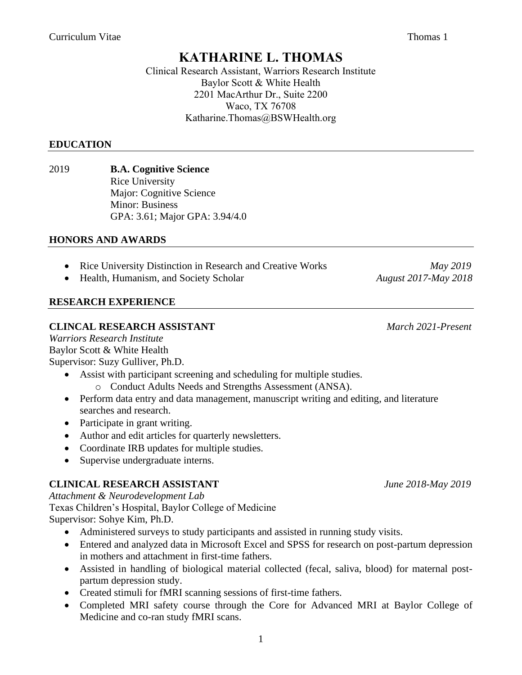# **KATHARINE L. THOMAS**

Clinical Research Assistant, Warriors Research Institute Baylor Scott & White Health 2201 MacArthur Dr., Suite 2200 Waco, TX 76708 Katharine.Thomas@BSWHealth.org

## **EDUCATION**

#### 2019 **B.A. Cognitive Science** Rice University Major: Cognitive Science Minor: Business GPA: 3.61; Major GPA: 3.94/4.0

## **HONORS AND AWARDS**

- Rice University Distinction in Research and Creative Works *May 2019*
- Health, Humanism, and Society Scholar *August 2017-May 2018*

## **RESEARCH EXPERIENCE**

#### **CLINCAL RESEARCH ASSISTANT** *March 2021-Present*

*Warriors Research Institute* Baylor Scott & White Health Supervisor: Suzy Gulliver, Ph.D.

- Assist with participant screening and scheduling for multiple studies.
	- o Conduct Adults Needs and Strengths Assessment (ANSA).
- Perform data entry and data management, manuscript writing and editing, and literature searches and research.
- Participate in grant writing.
- Author and edit articles for quarterly newsletters.
- Coordinate IRB updates for multiple studies.
- Supervise undergraduate interns.

## **CLINICAL RESEARCH ASSISTANT** *June 2018-May 2019*

*Attachment & Neurodevelopment Lab* Texas Children's Hospital, Baylor College of Medicine Supervisor: Sohye Kim, Ph.D.

- Administered surveys to study participants and assisted in running study visits.
- Entered and analyzed data in Microsoft Excel and SPSS for research on post-partum depression in mothers and attachment in first-time fathers.
- Assisted in handling of biological material collected (fecal, saliva, blood) for maternal postpartum depression study.
- Created stimuli for fMRI scanning sessions of first-time fathers.
- Completed MRI safety course through the Core for Advanced MRI at Baylor College of Medicine and co-ran study fMRI scans.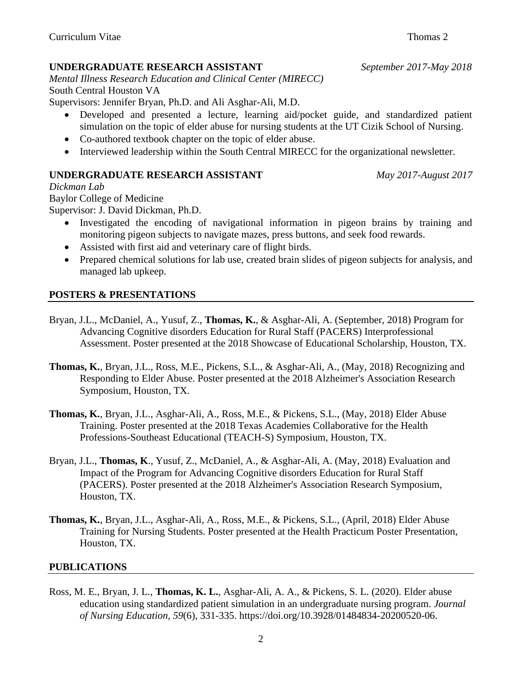#### **UNDERGRADUATE RESEARCH ASSISTANT** *September 2017-May 2018*

*Mental Illness Research Education and Clinical Center (MIRECC)* South Central Houston VA

Supervisors: Jennifer Bryan, Ph.D. and Ali Asghar-Ali, M.D.

- Developed and presented a lecture, learning aid/pocket guide, and standardized patient simulation on the topic of elder abuse for nursing students at the UT Cizik School of Nursing.
- Co-authored textbook chapter on the topic of elder abuse.
- Interviewed leadership within the South Central MIRECC for the organizational newsletter.

## **UNDERGRADUATE RESEARCH ASSISTANT** *May 2017-August 2017*

*Dickman Lab*

Baylor College of Medicine

Supervisor: J. David Dickman, Ph.D.

- Investigated the encoding of navigational information in pigeon brains by training and monitoring pigeon subjects to navigate mazes, press buttons, and seek food rewards.
- Assisted with first aid and veterinary care of flight birds.
- Prepared chemical solutions for lab use, created brain slides of pigeon subjects for analysis, and managed lab upkeep.

## **POSTERS & PRESENTATIONS**

- Bryan, J.L., McDaniel, A., Yusuf, Z., **Thomas, K.**, & Asghar-Ali, A. (September, 2018) Program for Advancing Cognitive disorders Education for Rural Staff (PACERS) Interprofessional Assessment. Poster presented at the 2018 Showcase of Educational Scholarship, Houston, TX.
- **Thomas, K.**, Bryan, J.L., Ross, M.E., Pickens, S.L., & Asghar-Ali, A., (May, 2018) Recognizing and Responding to Elder Abuse. Poster presented at the 2018 Alzheimer's Association Research Symposium, Houston, TX.
- **Thomas, K.**, Bryan, J.L., Asghar-Ali, A., Ross, M.E., & Pickens, S.L., (May, 2018) Elder Abuse Training. Poster presented at the 2018 Texas Academies Collaborative for the Health Professions-Southeast Educational (TEACH-S) Symposium, Houston, TX.
- Bryan, J.L., **Thomas, K**., Yusuf, Z., McDaniel, A., & Asghar-Ali, A. (May, 2018) Evaluation and Impact of the Program for Advancing Cognitive disorders Education for Rural Staff (PACERS). Poster presented at the 2018 Alzheimer's Association Research Symposium, Houston, TX.
- **Thomas, K.**, Bryan, J.L., Asghar-Ali, A., Ross, M.E., & Pickens, S.L., (April, 2018) Elder Abuse Training for Nursing Students. Poster presented at the Health Practicum Poster Presentation, Houston, TX.

## **PUBLICATIONS**

Ross, M. E., Bryan, J. L., **Thomas, K. L.**, Asghar-Ali, A. A., & Pickens, S. L. (2020). Elder abuse education using standardized patient simulation in an undergraduate nursing program. *Journal of Nursing Education, 59*(6), 331-335. https://doi.org/10.3928/01484834-20200520-06.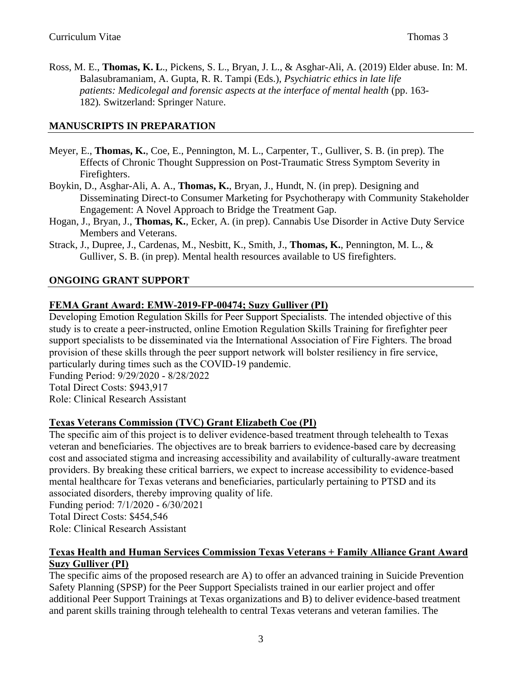Ross, M. E., **Thomas, K. L**., Pickens, S. L., Bryan, J. L., & Asghar-Ali, A. (2019) Elder abuse. In: M. Balasubramaniam, A. Gupta, R. R. Tampi (Eds.), *Psychiatric ethics in late life patients: Medicolegal and forensic aspects at the interface of mental health* (pp. 163- 182)*.* Switzerland: Springer Nature.

## **MANUSCRIPTS IN PREPARATION**

- Meyer, E., **Thomas, K.**, Coe, E., Pennington, M. L., Carpenter, T., Gulliver, S. B. (in prep). The Effects of Chronic Thought Suppression on Post-Traumatic Stress Symptom Severity in Firefighters.
- Boykin, D., Asghar-Ali, A. A., **Thomas, K.**, Bryan, J., Hundt, N. (in prep). Designing and Disseminating Direct-to Consumer Marketing for Psychotherapy with Community Stakeholder Engagement: A Novel Approach to Bridge the Treatment Gap.
- Hogan, J., Bryan, J., **Thomas, K.**, Ecker, A. (in prep). Cannabis Use Disorder in Active Duty Service Members and Veterans.
- Strack, J., Dupree, J., Cardenas, M., Nesbitt, K., Smith, J., **Thomas, K.**, Pennington, M. L., & Gulliver, S. B. (in prep). Mental health resources available to US firefighters.

## **ONGOING GRANT SUPPORT**

## **FEMA Grant Award: EMW-2019-FP-00474; Suzy Gulliver (PI)**

Developing Emotion Regulation Skills for Peer Support Specialists. The intended objective of this study is to create a peer-instructed, online Emotion Regulation Skills Training for firefighter peer support specialists to be disseminated via the International Association of Fire Fighters. The broad provision of these skills through the peer support network will bolster resiliency in fire service, particularly during times such as the COVID-19 pandemic.

Funding Period: 9/29/2020 - 8/28/2022 Total Direct Costs: \$943,917

Role: Clinical Research Assistant

## **Texas Veterans Commission (TVC) Grant Elizabeth Coe (PI)**

The specific aim of this project is to deliver evidence-based treatment through telehealth to Texas veteran and beneficiaries. The objectives are to break barriers to evidence-based care by decreasing cost and associated stigma and increasing accessibility and availability of culturally-aware treatment providers. By breaking these critical barriers, we expect to increase accessibility to evidence-based mental healthcare for Texas veterans and beneficiaries, particularly pertaining to PTSD and its associated disorders, thereby improving quality of life.

Funding period: 7/1/2020 - 6/30/2021

Total Direct Costs: \$454,546

Role: Clinical Research Assistant

## **Texas Health and Human Services Commission Texas Veterans + Family Alliance Grant Award Suzy Gulliver (PI)**

The specific aims of the proposed research are A) to offer an advanced training in Suicide Prevention Safety Planning (SPSP) for the Peer Support Specialists trained in our earlier project and offer additional Peer Support Trainings at Texas organizations and B) to deliver evidence-based treatment and parent skills training through telehealth to central Texas veterans and veteran families. The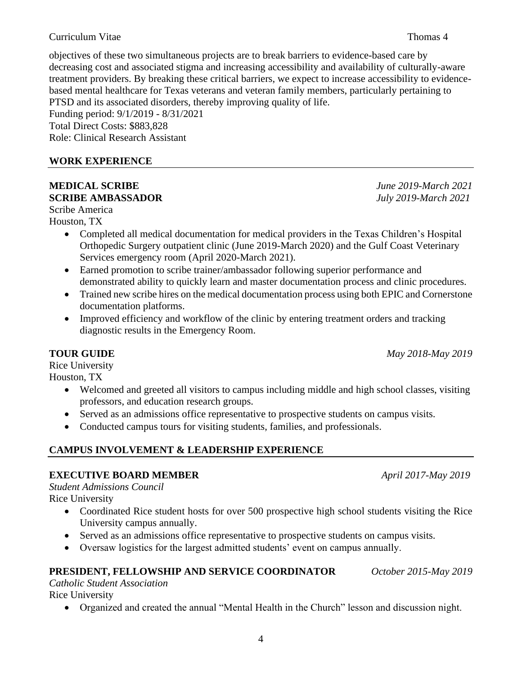#### Curriculum Vitae Thomas 4

objectives of these two simultaneous projects are to break barriers to evidence-based care by decreasing cost and associated stigma and increasing accessibility and availability of culturally-aware treatment providers. By breaking these critical barriers, we expect to increase accessibility to evidencebased mental healthcare for Texas veterans and veteran family members, particularly pertaining to PTSD and its associated disorders, thereby improving quality of life.

Funding period: 9/1/2019 - 8/31/2021 Total Direct Costs: \$883,828 Role: Clinical Research Assistant

## **WORK EXPERIENCE**

# **MEDICAL SCRIBE** *June 2019-March 2021* **SCRIBE AMBASSADOR** *July 2019-March 2021*

Scribe America

Houston, TX

- Completed all medical documentation for medical providers in the Texas Children's Hospital Orthopedic Surgery outpatient clinic (June 2019-March 2020) and the Gulf Coast Veterinary Services emergency room (April 2020-March 2021).
- Earned promotion to scribe trainer/ambassador following superior performance and demonstrated ability to quickly learn and master documentation process and clinic procedures.
- Trained new scribe hires on the medical documentation process using both EPIC and Cornerstone documentation platforms.
- Improved efficiency and workflow of the clinic by entering treatment orders and tracking diagnostic results in the Emergency Room.

**TOUR GUIDE** *May 2018-May 2019*

# Rice University

Houston, TX

- Welcomed and greeted all visitors to campus including middle and high school classes, visiting professors, and education research groups.
- Served as an admissions office representative to prospective students on campus visits.
- Conducted campus tours for visiting students, families, and professionals.

# **CAMPUS INVOLVEMENT & LEADERSHIP EXPERIENCE**

# **EXECUTIVE BOARD MEMBER** *April 2017-May 2019*

*Student Admissions Council*

- Rice University
	- Coordinated Rice student hosts for over 500 prospective high school students visiting the Rice University campus annually.
	- Served as an admissions office representative to prospective students on campus visits.
	- Oversaw logistics for the largest admitted students' event on campus annually.

# **PRESIDENT, FELLOWSHIP AND SERVICE COORDINATOR** *October 2015-May 2019*

*Catholic Student Association*

Rice University

• Organized and created the annual "Mental Health in the Church" lesson and discussion night.